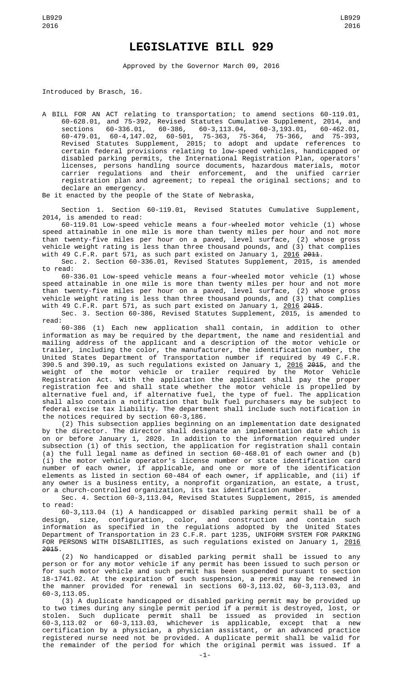## **LEGISLATIVE BILL 929**

Approved by the Governor March 09, 2016

Introduced by Brasch, 16.

A BILL FOR AN ACT relating to transportation; to amend sections 60-119.01, 60-628.01, and 75-392, Revised Statutes Cumulative Supplement, 2014, and sections 60-336.01, 60-386, 60-3,113.04, 60-3,193.01, 60-462.01, 60-479.01, 60-4,147.02, 60-501, 75-363, 75-364, 75-366, and 75-393, Revised Statutes Supplement, 2015; to adopt and update references to certain federal provisions relating to low-speed vehicles, handicapped or disabled parking permits, the International Registration Plan, operators' licenses, persons handling source documents, hazardous materials, motor carrier regulations and their enforcement, and the unified carrier registration plan and agreement; to repeal the original sections; and to declare an emergency.

Be it enacted by the people of the State of Nebraska,

Section 1. Section 60-119.01, Revised Statutes Cumulative Supplement, 2014, is amended to read:

60-119.01 Low-speed vehicle means a four-wheeled motor vehicle (1) whose speed attainable in one mile is more than twenty miles per hour and not more than twenty-five miles per hour on a paved, level surface, (2) whose gross vehicle weight rating is less than three thousand pounds, and (3) that complies with 49 C.F.R. part 571, as such part existed on January 1, <u>2016</u> <del>2011</del>.

Sec. 2. Section 60-336.01, Revised Statutes Supplement, 2015, is amended to read:

60-336.01 Low-speed vehicle means a four-wheeled motor vehicle (1) whose speed attainable in one mile is more than twenty miles per hour and not more than twenty-five miles per hour on a paved, level surface, (2) whose gross vehicle weight rating is less than three thousand pounds, and (3) that complies with 49 C.F.R. part 571, as such part existed on January 1, <u>2016</u> <del>2015</del>.

Sec. 3. Section 60-386, Revised Statutes Supplement, 2015, is amended to read:

60-386 (1) Each new application shall contain, in addition to other information as may be required by the department, the name and residential and mailing address of the applicant and a description of the motor vehicle or trailer, including the color, the manufacturer, the identification number, the United States Department of Transportation number if required by 49 C.F.R. 390.5 and 390.19, as such regulations existed on January 1, <u>2016</u> <del>2015</del>, and the weight of the motor vehicle or trailer required by the Motor Vehicle Registration Act. With the application the applicant shall pay the proper registration fee and shall state whether the motor vehicle is propelled by alternative fuel and, if alternative fuel, the type of fuel. The application shall also contain a notification that bulk fuel purchasers may be subject to federal excise tax liability. The department shall include such notification in the notices required by section 60-3,186.

(2) This subsection applies beginning on an implementation date designated by the director. The director shall designate an implementation date which is on or before January 1, 2020. In addition to the information required under subsection (1) of this section, the application for registration shall contain (a) the full legal name as defined in section 60-468.01 of each owner and (b) (i) the motor vehicle operator's license number or state identification card number of each owner, if applicable, and one or more of the identification elements as listed in section 60-484 of each owner, if applicable, and (ii) if any owner is a business entity, a nonprofit organization, an estate, a trust, or a church-controlled organization, its tax identification number.

Sec. 4. Section 60-3,113.04, Revised Statutes Supplement, 2015, is amended to read:

60-3,113.04 (1) A handicapped or disabled parking permit shall be of a design, size, configuration, color, and construction and contain such information as specified in the regulations adopted by the United States Department of Transportation in 23 C.F.R. part 1235, UNIFORM SYSTEM FOR PARKING FOR PERSONS WITH DISABILITIES, as such regulations existed on January 1, 2016 2015.

(2) No handicapped or disabled parking permit shall be issued to any person or for any motor vehicle if any permit has been issued to such person or for such motor vehicle and such permit has been suspended pursuant to section 18-1741.02. At the expiration of such suspension, a permit may be renewed in the manner provided for renewal in sections 60-3,113.02, 60-3,113.03, and 60-3,113.05.

(3) A duplicate handicapped or disabled parking permit may be provided up to two times during any single permit period if a permit is destroyed, lost, or stolen. Such duplicate permit shall be issued as provided in section 60-3,113.02 or 60-3,113.03, whichever is applicable, except that a new certification by a physician, a physician assistant, or an advanced practice registered nurse need not be provided. A duplicate permit shall be valid for the remainder of the period for which the original permit was issued. If a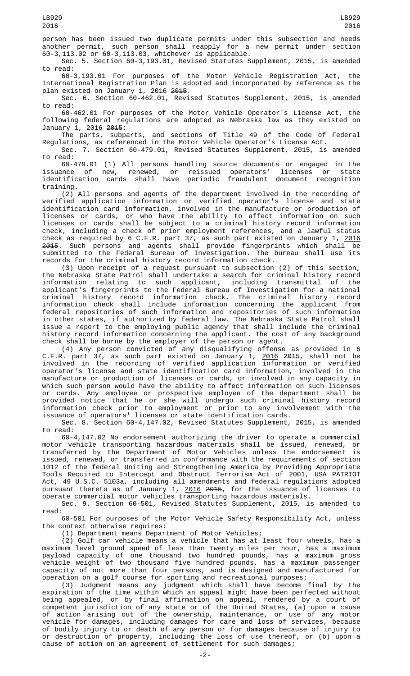person has been issued two duplicate permits under this subsection and needs another permit, such person shall reapply for a new permit under section 60-3,113.02 or 60-3,113.03, whichever is applicable.

Sec. 5. Section 60-3,193.01, Revised Statutes Supplement, 2015, is amended to read:

60-3,193.01 For purposes of the Motor Vehicle Registration Act, the International Registration Plan is adopted and incorporated by reference as the plan existed on January 1, <u>2016</u> <del>2015</del>.

Sec. 6. Section 60-462.01, Revised Statutes Supplement, 2015, is amended to read:

60-462.01 For purposes of the Motor Vehicle Operator's License Act, the following federal regulations are adopted as Nebraska law as they existed on January 1, 2016 2015:

The parts, subparts, and sections of Title 49 of the Code of Federal Regulations, as referenced in the Motor Vehicle Operator's License Act.

Sec. 7. Section 60-479.01, Revised Statutes Supplement, 2015, is amended to read:

60-479.01 (1) All persons handling source documents or engaged in the issuance of new, renewed, or reissued operators' licenses or state identification cards shall have periodic fraudulent document recognition training.

(2) All persons and agents of the department involved in the recording of verified application information or verified operator's license and state identification card information, involved in the manufacture or production of licenses or cards, or who have the ability to affect information on such licenses or cards shall be subject to a criminal history record information check, including a check of prior employment references, and a lawful status check as required by 6 C.F.R. part 37, as such part existed on January 1, <u>2016</u> 2015. Such persons and agents shall provide fingerprints which shall be submitted to the Federal Bureau of Investigation. The bureau shall use its records for the criminal history record information check.

(3) Upon receipt of a request pursuant to subsection (2) of this section, the Nebraska State Patrol shall undertake a search for criminal history record information relating to such applicant, including transmittal of the applicant's fingerprints to the Federal Bureau of Investigation for a national criminal history record information check. The criminal history record information check shall include information concerning the applicant from federal repositories of such information and repositories of such information in other states, if authorized by federal law. The Nebraska State Patrol shall issue a report to the employing public agency that shall include the criminal history record information concerning the applicant. The cost of any background check shall be borne by the employer of the person or agent.

(4) Any person convicted of any disqualifying offense as provided in 6 C.F.R. part 37, as such part existed on January 1, <u>2016</u> <del>2015</del>, shall not be involved in the recording of verified application information or verified operator's license and state identification card information, involved in the manufacture or production of licenses or cards, or involved in any capacity in which such person would have the ability to affect information on such licenses or cards. Any employee or prospective employee of the department shall be provided notice that he or she will undergo such criminal history record information check prior to employment or prior to any involvement with the issuance of operators' licenses or state identification cards.

Sec. 8. Section 60-4,147.02, Revised Statutes Supplement, 2015, is amended to read:

60-4,147.02 No endorsement authorizing the driver to operate a commercial motor vehicle transporting hazardous materials shall be issued, renewed, or transferred by the Department of Motor Vehicles unless the endorsement is issued, renewed, or transferred in conformance with the requirements of section 1012 of the federal Uniting and Strengthening America by Providing Appropriate Tools Required to Intercept and Obstruct Terrorism Act of 2001, USA PATRIOT Act, 49 U.S.C. 5103a, including all amendments and federal regulations adopted pursuant thereto as of January 1, <u>2016</u> <del>2015</del>, for the issuance of licenses to operate commercial motor vehicles transporting hazardous materials.

Sec. 9. Section 60-501, Revised Statutes Supplement, 2015, is amended to read:

60-501 For purposes of the Motor Vehicle Safety Responsibility Act, unless the context otherwise requires:

(1) Department means Department of Motor Vehicles;

(2) Golf car vehicle means a vehicle that has at least four wheels, has a maximum level ground speed of less than twenty miles per hour, has a maximum payload capacity of one thousand two hundred pounds, has a maximum gross vehicle weight of two thousand five hundred pounds, has a maximum passenger capacity of not more than four persons, and is designed and manufactured for operation on a golf course for sporting and recreational purposes;

(3) Judgment means any judgment which shall have become final by the expiration of the time within which an appeal might have been perfected without being appealed, or by final affirmation on appeal, rendered by a court of competent jurisdiction of any state or of the United States, (a) upon a cause of action arising out of the ownership, maintenance, or use of any motor vehicle for damages, including damages for care and loss of services, because of bodily injury to or death of any person or for damages because of injury to or destruction of property, including the loss of use thereof, or (b) upon a cause of action on an agreement of settlement for such damages;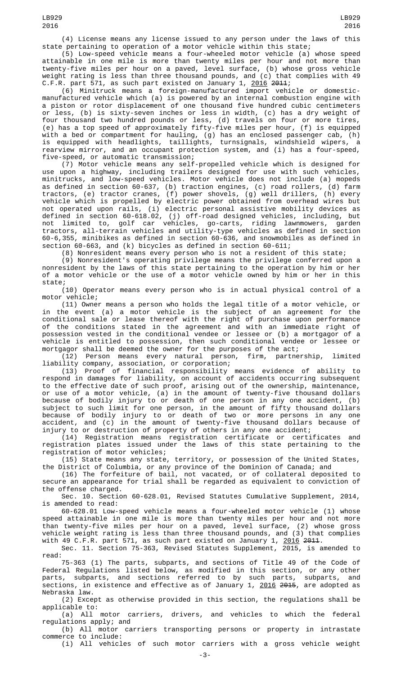(4) License means any license issued to any person under the laws of this state pertaining to operation of a motor vehicle within this state;

(5) Low-speed vehicle means a four-wheeled motor vehicle (a) whose speed attainable in one mile is more than twenty miles per hour and not more than twenty-five miles per hour on a paved, level surface, (b) whose gross vehicle weight rating is less than three thousand pounds, and (c) that complies with 49 C.F.R. part 571, as such part existed on January 1, <u>2016</u> <del>2011</del>;

(6) Minitruck means a foreign-manufactured import vehicle or domesticmanufactured vehicle which (a) is powered by an internal combustion engine with a piston or rotor displacement of one thousand five hundred cubic centimeters or less, (b) is sixty-seven inches or less in width, (c) has a dry weight of four thousand two hundred pounds or less, (d) travels on four or more tires, (e) has a top speed of approximately fifty-five miles per hour, (f) is equipped with a bed or compartment for hauling, (g) has an enclosed passenger cab, (h) is equipped with headlights, taillights, turnsignals, windshield wipers, a rearview mirror, and an occupant protection system, and (i) has a four-speed, five-speed, or automatic transmission;

(7) Motor vehicle means any self-propelled vehicle which is designed for use upon a highway, including trailers designed for use with such vehicles, minitrucks, and low-speed vehicles. Motor vehicle does not include (a) mopeds as defined in section 60-637, (b) traction engines, (c) road rollers, (d) farm tractors, (e) tractor cranes, (f) power shovels, (g) well drillers, (h) every vehicle which is propelled by electric power obtained from overhead wires but not operated upon rails, (i) electric personal assistive mobility devices as defined in section 60-618.02, (j) off-road designed vehicles, including, but not limited to, golf car vehicles, go-carts, riding lawnmowers, garden tractors, all-terrain vehicles and utility-type vehicles as defined in section 60-6,355, minibikes as defined in section 60-636, and snowmobiles as defined in section 60-663, and (k) bicycles as defined in section 60-611;

(8) Nonresident means every person who is not a resident of this state;

(9) Nonresident's operating privilege means the privilege conferred upon a nonresident by the laws of this state pertaining to the operation by him or her of a motor vehicle or the use of a motor vehicle owned by him or her in this state;

(10) Operator means every person who is in actual physical control of a motor vehicle;

(11) Owner means a person who holds the legal title of a motor vehicle, or in the event (a) a motor vehicle is the subject of an agreement for the conditional sale or lease thereof with the right of purchase upon performance of the conditions stated in the agreement and with an immediate right of possession vested in the conditional vendee or lessee or (b) a mortgagor of a vehicle is entitled to possession, then such conditional vendee or lessee or mortgagor shall be deemed the owner for the purposes of the act;

(12) Person means every natural person, firm, partnership, limited liability company, association, or corporation;

(13) Proof of financial responsibility means evidence of ability to respond in damages for liability, on account of accidents occurring subsequent to the effective date of such proof, arising out of the ownership, maintenance, or use of a motor vehicle, (a) in the amount of twenty-five thousand dollars because of bodily injury to or death of one person in any one accident, (b) subject to such limit for one person, in the amount of fifty thousand dollars because of bodily injury to or death of two or more persons in any one accident, and (c) in the amount of twenty-five thousand dollars because of injury to or destruction of property of others in any one accident;

(14) Registration means registration certificate or certificates and registration plates issued under the laws of this state pertaining to the registration of motor vehicles;

(15) State means any state, territory, or possession of the United States, the District of Columbia, or any province of the Dominion of Canada; and

(16) The forfeiture of bail, not vacated, or of collateral deposited to secure an appearance for trial shall be regarded as equivalent to conviction of the offense charged.

Sec. 10. Section 60-628.01, Revised Statutes Cumulative Supplement, 2014, is amended to read:

60-628.01 Low-speed vehicle means a four-wheeled motor vehicle (1) whose speed attainable in one mile is more than twenty miles per hour and not more than twenty-five miles per hour on a paved, level surface, (2) whose gross vehicle weight rating is less than three thousand pounds, and (3) that complies with 49 C.F.R. part 571, as such part existed on January 1, <u>2016</u> <del>2011</del>.

Sec. 11. Section 75-363, Revised Statutes Supplement, 2015, is amended to read:

75-363 (1) The parts, subparts, and sections of Title 49 of the Code of Federal Regulations listed below, as modified in this section, or any other parts, subparts, and sections referred to by such parts, subparts, and sections, in existence and effective as of January 1, <u>2016</u> <del>2015</del>, are adopted as Nebraska law.

(2) Except as otherwise provided in this section, the regulations shall be applicable to:

(a) All motor carriers, drivers, and vehicles to which the federal regulations apply; and

(b) All motor carriers transporting persons or property in intrastate commerce to include:

(i) All vehicles of such motor carriers with a gross vehicle weight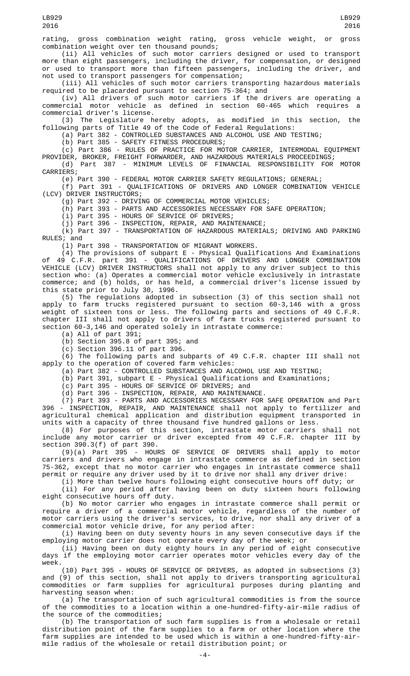(ii) All vehicles of such motor carriers designed or used to transport more than eight passengers, including the driver, for compensation, or designed or used to transport more than fifteen passengers, including the driver, and not used to transport passengers for compensation;

(iii) All vehicles of such motor carriers transporting hazardous materials required to be placarded pursuant to section 75-364; and

(iv) All drivers of such motor carriers if the drivers are operating a commercial motor vehicle as defined in section 60-465 which requires a commercial driver's license.

(3) The Legislature hereby adopts, as modified in this section, the following parts of Title 49 of the Code of Federal Regulations:

(a) Part 382 - CONTROLLED SUBSTANCES AND ALCOHOL USE AND TESTING;

(b) Part 385 - SAFETY FITNESS PROCEDURES;

(c) Part 386 - RULES OF PRACTICE FOR MOTOR CARRIER, INTERMODAL EQUIPMENT

PROVIDER, BROKER, FREIGHT FORWARDER, AND HAZARDOUS MATERIALS PROCEEDINGS; (d) Part 387 - MINIMUM LEVELS OF FINANCIAL RESPONSIBILITY FOR MOTOR CARRIERS;

(e) Part 390 - FEDERAL MOTOR CARRIER SAFETY REGULATIONS; GENERAL;

(f) Part 391 - QUALIFICATIONS OF DRIVERS AND LONGER COMBINATION VEHICLE (LCV) DRIVER INSTRUCTORS;

(g) Part 392 - DRIVING OF COMMERCIAL MOTOR VEHICLES;

(h) Part 393 - PARTS AND ACCESSORIES NECESSARY FOR SAFE OPERATION;

(i) Part 395 - HOURS OF SERVICE OF DRIVERS;

(j) Part 396 - INSPECTION, REPAIR, AND MAINTENANCE;

(k) Part 397 - TRANSPORTATION OF HAZARDOUS MATERIALS; DRIVING AND PARKING RULES; and

(l) Part 398 - TRANSPORTATION OF MIGRANT WORKERS.

(4) The provisions of subpart E - Physical Qualifications And Examinations of 49 C.F.R. part 391 - QUALIFICATIONS OF DRIVERS AND LONGER COMBINATION VEHICLE (LCV) DRIVER INSTRUCTORS shall not apply to any driver subject to this section who: (a) Operates a commercial motor vehicle exclusively in intrastate commerce; and (b) holds, or has held, a commercial driver's license issued by this state prior to July 30, 1996.

(5) The regulations adopted in subsection (3) of this section shall not apply to farm trucks registered pursuant to section 60-3,146 with a gross weight of sixteen tons or less. The following parts and sections of 49 C.F.R. chapter III shall not apply to drivers of farm trucks registered pursuant to section 60-3,146 and operated solely in intrastate commerce:

(a) All of part 391;

(b) Section 395.8 of part 395; and

 $(c)$  Section 396.11 of part 396.

(6) The following parts and subparts of 49 C.F.R. chapter III shall not apply to the operation of covered farm vehicles:

(a) Part 382 - CONTROLLED SUBSTANCES AND ALCOHOL USE AND TESTING;

(b) Part 391, subpart E - Physical Qualifications and Examinations;

(c) Part 395 - HOURS OF SERVICE OF DRIVERS; and

(d) Part 396 - INSPECTION, REPAIR, AND MAINTENANCE.

(7) Part 393 - PARTS AND ACCESSORIES NECESSARY FOR SAFE OPERATION and Part 396 - INSPECTION, REPAIR, AND MAINTENANCE shall not apply to fertilizer and agricultural chemical application and distribution equipment transported in units with a capacity of three thousand five hundred gallons or less.

(8) For purposes of this section, intrastate motor carriers shall not include any motor carrier or driver excepted from 49 C.F.R. chapter III by section 390.3(f) of part 390.

(9)(a) Part 395 - HOURS OF SERVICE OF DRIVERS shall apply to motor carriers and drivers who engage in intrastate commerce as defined in section 75-362, except that no motor carrier who engages in intrastate commerce shall permit or require any driver used by it to drive nor shall any driver drive:

(i) More than twelve hours following eight consecutive hours off duty; or

(ii) For any period after having been on duty sixteen hours following eight consecutive hours off duty.

(b) No motor carrier who engages in intrastate commerce shall permit or require a driver of a commercial motor vehicle, regardless of the number of motor carriers using the driver's services, to drive, nor shall any driver of a commercial motor vehicle drive, for any period after:

(i) Having been on duty seventy hours in any seven consecutive days if the employing motor carrier does not operate every day of the week; or

(ii) Having been on duty eighty hours in any period of eight consecutive days if the employing motor carrier operates motor vehicles every day of the week.

(10) Part 395 - HOURS OF SERVICE OF DRIVERS, as adopted in subsections (3) and (9) of this section, shall not apply to drivers transporting agricultural commodities or farm supplies for agricultural purposes during planting and harvesting season when:

(a) The transportation of such agricultural commodities is from the source of the commodities to a location within a one-hundred-fifty-air-mile radius of the source of the commodities;

(b) The transportation of such farm supplies is from a wholesale or retail distribution point of the farm supplies to a farm or other location where the farm supplies are intended to be used which is within a one-hundred-fifty-airmile radius of the wholesale or retail distribution point; or